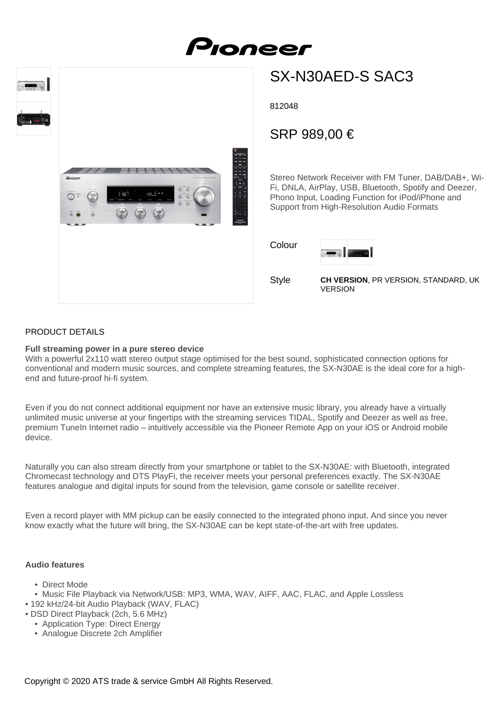

# SX-N30AED-S SAC3

812048

# SRP 989,00 €

Stereo Network Receiver with FM Tuner, DAB/DAB+, Wi-Fi, DNLA, AirPlay, USB, Bluetooth, Spotify and Deezer, Phono Input, Loading Function for iPod/iPhone and Support from High-Resolution Audio Formats

| Colour |  |
|--------|--|
|        |  |

**Style** 

**CH VERSION**, PR VERSION, STANDARD, UK VERSION

#### PRODUCT DETAILS

#### **Full streaming power in a pure stereo device**

With a powerful 2x110 watt stereo output stage optimised for the best sound, sophisticated connection options for conventional and modern music sources, and complete streaming features, the SX-N30AE is the ideal core for a highend and future-proof hi-fi system.

Even if you do not connect additional equipment nor have an extensive music library, you already have a virtually unlimited music universe at your fingertips with the streaming services TIDAL, Spotify and Deezer as well as free, premium TuneIn Internet radio – intuitively accessible via the Pioneer Remote App on your iOS or Android mobile device.

Naturally you can also stream directly from your smartphone or tablet to the SX-N30AE: with Bluetooth, integrated Chromecast technology and DTS PlayFi, the receiver meets your personal preferences exactly. The SX-N30AE features analogue and digital inputs for sound from the television, game console or satellite receiver.

Even a record player with MM pickup can be easily connected to the integrated phono input. And since you never know exactly what the future will bring, the SX-N30AE can be kept state-of-the-art with free updates.

#### **Audio features**

- Direct Mode
- Music File Playback via Network/USB: MP3, WMA, WAV, AIFF, AAC, FLAC, and Apple Lossless
- 192 kHz/24-bit Audio Playback (WAV, FLAC)
- DSD Direct Playback (2ch, 5.6 MHz)
	- Application Type: Direct Energy
	- Analogue Discrete 2ch Amplifier

Copyright © 2020 ATS trade & service GmbH All Rights Reserved.